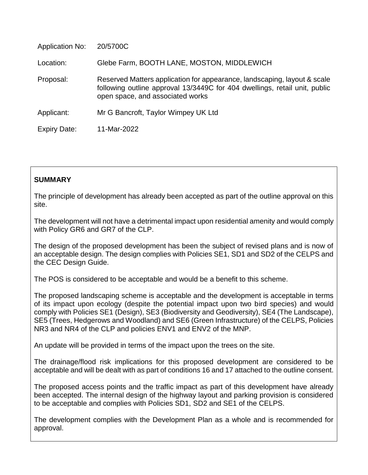| <b>Application No:</b> | 20/5700C                                                                                                                                                                                   |
|------------------------|--------------------------------------------------------------------------------------------------------------------------------------------------------------------------------------------|
| Location:              | Glebe Farm, BOOTH LANE, MOSTON, MIDDLEWICH                                                                                                                                                 |
| Proposal:              | Reserved Matters application for appearance, landscaping, layout & scale<br>following outline approval 13/3449C for 404 dwellings, retail unit, public<br>open space, and associated works |
| Applicant:             | Mr G Bancroft, Taylor Wimpey UK Ltd                                                                                                                                                        |
| <b>Expiry Date:</b>    | 11-Mar-2022                                                                                                                                                                                |

## **SUMMARY**

The principle of development has already been accepted as part of the outline approval on this site.

The development will not have a detrimental impact upon residential amenity and would comply with Policy GR6 and GR7 of the CLP.

The design of the proposed development has been the subject of revised plans and is now of an acceptable design. The design complies with Policies SE1, SD1 and SD2 of the CELPS and the CEC Design Guide.

The POS is considered to be acceptable and would be a benefit to this scheme.

The proposed landscaping scheme is acceptable and the development is acceptable in terms of its impact upon ecology (despite the potential impact upon two bird species) and would comply with Policies SE1 (Design), SE3 (Biodiversity and Geodiversity), SE4 (The Landscape), SE5 (Trees, Hedgerows and Woodland) and SE6 (Green Infrastructure) of the CELPS, Policies NR3 and NR4 of the CLP and policies ENV1 and ENV2 of the MNP.

An update will be provided in terms of the impact upon the trees on the site.

The drainage/flood risk implications for this proposed development are considered to be acceptable and will be dealt with as part of conditions 16 and 17 attached to the outline consent.

The proposed access points and the traffic impact as part of this development have already been accepted. The internal design of the highway layout and parking provision is considered to be acceptable and complies with Policies SD1, SD2 and SE1 of the CELPS.

The development complies with the Development Plan as a whole and is recommended for approval.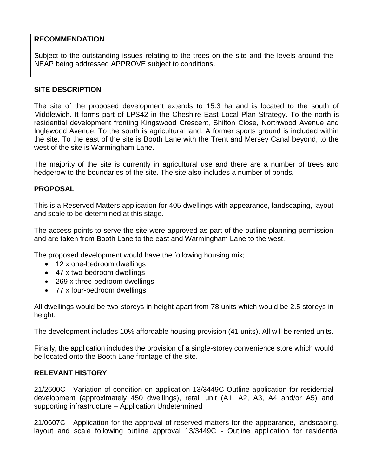## **RECOMMENDATION**

Subject to the outstanding issues relating to the trees on the site and the levels around the NEAP being addressed APPROVE subject to conditions.

## **SITE DESCRIPTION**

The site of the proposed development extends to 15.3 ha and is located to the south of Middlewich. It forms part of LPS42 in the Cheshire East Local Plan Strategy. To the north is residential development fronting Kingswood Crescent, Shilton Close, Northwood Avenue and Inglewood Avenue. To the south is agricultural land. A former sports ground is included within the site. To the east of the site is Booth Lane with the Trent and Mersey Canal beyond, to the west of the site is Warmingham Lane.

The majority of the site is currently in agricultural use and there are a number of trees and hedgerow to the boundaries of the site. The site also includes a number of ponds.

## **PROPOSAL**

This is a Reserved Matters application for 405 dwellings with appearance, landscaping, layout and scale to be determined at this stage.

The access points to serve the site were approved as part of the outline planning permission and are taken from Booth Lane to the east and Warmingham Lane to the west.

The proposed development would have the following housing mix;

- 12 x one-bedroom dwellings
- 47 x two-bedroom dwellings
- 269 x three-bedroom dwellings
- 77 x four-bedroom dwellings

All dwellings would be two-storeys in height apart from 78 units which would be 2.5 storeys in height.

The development includes 10% affordable housing provision (41 units). All will be rented units.

Finally, the application includes the provision of a single-storey convenience store which would be located onto the Booth Lane frontage of the site.

### **RELEVANT HISTORY**

21/2600C - Variation of condition on application 13/3449C Outline application for residential development (approximately 450 dwellings), retail unit (A1, A2, A3, A4 and/or A5) and supporting infrastructure – Application Undetermined

21/0607C - Application for the approval of reserved matters for the appearance, landscaping, layout and scale following outline approval 13/3449C - Outline application for residential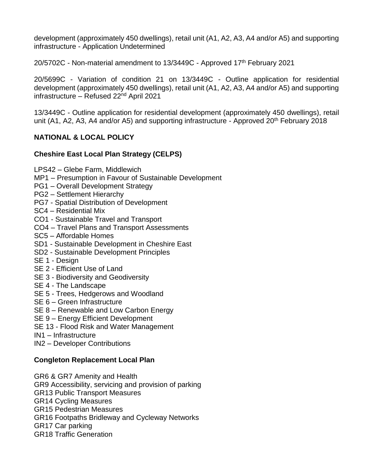development (approximately 450 dwellings), retail unit (A1, A2, A3, A4 and/or A5) and supporting infrastructure - Application Undetermined

20/5702C - Non-material amendment to 13/3449C - Approved 17<sup>th</sup> February 2021

20/5699C - Variation of condition 21 on 13/3449C - Outline application for residential development (approximately 450 dwellings), retail unit (A1, A2, A3, A4 and/or A5) and supporting infrastructure – Refused 22nd April 2021

13/3449C - Outline application for residential development (approximately 450 dwellings), retail unit (A1, A2, A3, A4 and/or A5) and supporting infrastructure - Approved  $20<sup>th</sup>$  February 2018

# **NATIONAL & LOCAL POLICY**

## **Cheshire East Local Plan Strategy (CELPS)**

LPS42 – Glebe Farm, Middlewich

- MP1 Presumption in Favour of Sustainable Development
- PG1 Overall Development Strategy
- PG2 Settlement Hierarchy
- PG7 Spatial Distribution of Development
- SC4 Residential Mix
- CO1 Sustainable Travel and Transport
- CO4 Travel Plans and Transport Assessments
- SC5 Affordable Homes
- SD1 Sustainable Development in Cheshire East
- SD2 Sustainable Development Principles
- SE 1 Design
- SE 2 Efficient Use of Land
- SE 3 Biodiversity and Geodiversity
- SE 4 The Landscape
- SE 5 Trees, Hedgerows and Woodland
- SE 6 Green Infrastructure
- SE 8 Renewable and Low Carbon Energy
- SE 9 Energy Efficient Development
- SE 13 Flood Risk and Water Management
- IN1 Infrastructure
- IN2 Developer Contributions

## **Congleton Replacement Local Plan**

GR6 & GR7 Amenity and Health

GR9 Accessibility, servicing and provision of parking

- GR13 Public Transport Measures
- GR14 Cycling Measures
- GR15 Pedestrian Measures
- GR16 Footpaths Bridleway and Cycleway Networks
- GR17 Car parking
- GR18 Traffic Generation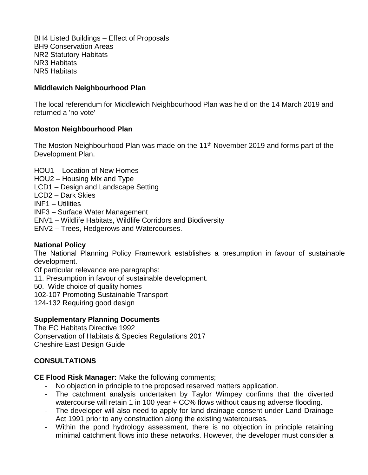BH4 Listed Buildings – Effect of Proposals BH9 Conservation Areas NR2 Statutory Habitats NR3 Habitats NR5 Habitats

## **Middlewich Neighbourhood Plan**

The local referendum for Middlewich Neighbourhood Plan was held on the 14 March 2019 and returned a 'no vote'

## **Moston Neighbourhood Plan**

The Moston Neighbourhood Plan was made on the  $11<sup>th</sup>$  November 2019 and forms part of the Development Plan.

HOU1 – Location of New Homes HOU2 – Housing Mix and Type LCD1 – Design and Landscape Setting LCD2 – Dark Skies INF1 – Utilities INF3 – Surface Water Management ENV1 – Wildlife Habitats, Wildlife Corridors and Biodiversity ENV2 – Trees, Hedgerows and Watercourses.

## **National Policy**

The National Planning Policy Framework establishes a presumption in favour of sustainable development.

Of particular relevance are paragraphs:

11. Presumption in favour of sustainable development.

50. Wide choice of quality homes

102-107 Promoting Sustainable Transport

124-132 Requiring good design

### **Supplementary Planning Documents**

The EC Habitats Directive 1992 Conservation of Habitats & Species Regulations 2017 Cheshire East Design Guide

## **CONSULTATIONS**

**CE Flood Risk Manager:** Make the following comments;

- No objection in principle to the proposed reserved matters application.
- The catchment analysis undertaken by Taylor Wimpey confirms that the diverted watercourse will retain 1 in 100 year + CC% flows without causing adverse flooding.
- The developer will also need to apply for land drainage consent under Land Drainage Act 1991 prior to any construction along the existing watercourses.
- Within the pond hydrology assessment, there is no objection in principle retaining minimal catchment flows into these networks. However, the developer must consider a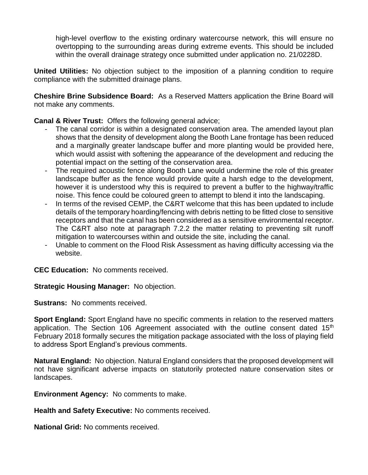high-level overflow to the existing ordinary watercourse network, this will ensure no overtopping to the surrounding areas during extreme events. This should be included within the overall drainage strategy once submitted under application no. 21/0228D.

**United Utilities:** No objection subject to the imposition of a planning condition to require compliance with the submitted drainage plans.

**Cheshire Brine Subsidence Board:** As a Reserved Matters application the Brine Board will not make any comments.

**Canal & River Trust:** Offers the following general advice;

- The canal corridor is within a designated conservation area. The amended layout plan shows that the density of development along the Booth Lane frontage has been reduced and a marginally greater landscape buffer and more planting would be provided here, which would assist with softening the appearance of the development and reducing the potential impact on the setting of the conservation area.
- The required acoustic fence along Booth Lane would undermine the role of this greater landscape buffer as the fence would provide quite a harsh edge to the development, however it is understood why this is required to prevent a buffer to the highway/traffic noise. This fence could be coloured green to attempt to blend it into the landscaping.
- In terms of the revised CEMP, the C&RT welcome that this has been updated to include details of the temporary hoarding/fencing with debris netting to be fitted close to sensitive receptors and that the canal has been considered as a sensitive environmental receptor. The C&RT also note at paragraph 7.2.2 the matter relating to preventing silt runoff mitigation to watercourses within and outside the site, including the canal.
- Unable to comment on the Flood Risk Assessment as having difficulty accessing via the website.

**CEC Education:** No comments received.

**Strategic Housing Manager:** No objection.

**Sustrans:** No comments received.

**Sport England:** Sport England have no specific comments in relation to the reserved matters application. The Section 106 Agreement associated with the outline consent dated 15<sup>th</sup> February 2018 formally secures the mitigation package associated with the loss of playing field to address Sport England's previous comments.

**Natural England:** No objection. Natural England considers that the proposed development will not have significant adverse impacts on statutorily protected nature conservation sites or landscapes.

**Environment Agency:** No comments to make.

**Health and Safety Executive:** No comments received.

**National Grid:** No comments received.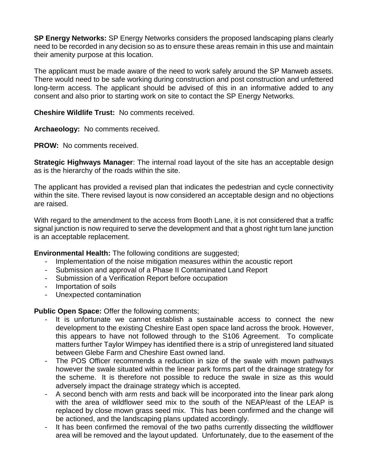**SP Energy Networks:** SP Energy Networks considers the proposed landscaping plans clearly need to be recorded in any decision so as to ensure these areas remain in this use and maintain their amenity purpose at this location.

The applicant must be made aware of the need to work safely around the SP Manweb assets. There would need to be safe working during construction and post construction and unfettered long-term access. The applicant should be advised of this in an informative added to any consent and also prior to starting work on site to contact the SP Energy Networks.

**Cheshire Wildlife Trust:** No comments received.

**Archaeology:** No comments received.

**PROW:** No comments received.

**Strategic Highways Manager**: The internal road layout of the site has an acceptable design as is the hierarchy of the roads within the site.

The applicant has provided a revised plan that indicates the pedestrian and cycle connectivity within the site. There revised layout is now considered an acceptable design and no objections are raised.

With regard to the amendment to the access from Booth Lane, it is not considered that a traffic signal junction is now required to serve the development and that a ghost right turn lane junction is an acceptable replacement.

**Environmental Health:** The following conditions are suggested;

- Implementation of the noise mitigation measures within the acoustic report
- Submission and approval of a Phase II Contaminated Land Report
- Submission of a Verification Report before occupation
- Importation of soils
- Unexpected contamination

**Public Open Space:** Offer the following comments;

- It is unfortunate we cannot establish a sustainable access to connect the new development to the existing Cheshire East open space land across the brook. However, this appears to have not followed through to the S106 Agreement. To complicate matters further Taylor Wimpey has identified there is a strip of unregistered land situated between Glebe Farm and Cheshire East owned land.
- The POS Officer recommends a reduction in size of the swale with mown pathways however the swale situated within the linear park forms part of the drainage strategy for the scheme. It is therefore not possible to reduce the swale in size as this would adversely impact the drainage strategy which is accepted.
- A second bench with arm rests and back will be incorporated into the linear park along with the area of wildflower seed mix to the south of the NEAP/east of the LEAP is replaced by close mown grass seed mix. This has been confirmed and the change will be actioned, and the landscaping plans updated accordingly.
- It has been confirmed the removal of the two paths currently dissecting the wildflower area will be removed and the layout updated. Unfortunately, due to the easement of the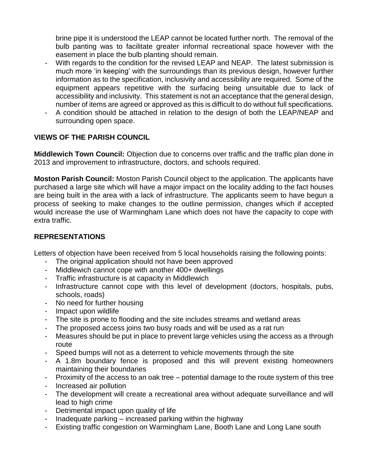brine pipe it is understood the LEAP cannot be located further north. The removal of the bulb panting was to facilitate greater informal recreational space however with the easement in place the bulb planting should remain.

- With regards to the condition for the revised LEAP and NEAP. The latest submission is much more 'in keeping' with the surroundings than its previous design, however further information as to the specification, inclusivity and accessibility are required. Some of the equipment appears repetitive with the surfacing being unsuitable due to lack of accessibility and inclusivity. This statement is not an acceptance that the general design, number of items are agreed or approved as this is difficult to do without full specifications.
- A condition should be attached in relation to the design of both the LEAP/NEAP and surrounding open space.

# **VIEWS OF THE PARISH COUNCIL**

**Middlewich Town Council:** Objection due to concerns over traffic and the traffic plan done in 2013 and improvement to infrastructure, doctors, and schools required.

**Moston Parish Council:** Moston Parish Council object to the application. The applicants have purchased a large site which will have a major impact on the locality adding to the fact houses are being built in the area with a lack of infrastructure. The applicants seem to have begun a process of seeking to make changes to the outline permission, changes which if accepted would increase the use of Warmingham Lane which does not have the capacity to cope with extra traffic.

## **REPRESENTATIONS**

Letters of objection have been received from 5 local households raising the following points:

- The original application should not have been approved
- Middlewich cannot cope with another 400+ dwellings
- Traffic infrastructure is at capacity in Middlewich
- Infrastructure cannot cope with this level of development (doctors, hospitals, pubs, schools, roads)
- No need for further housing
- Impact upon wildlife
- The site is prone to flooding and the site includes streams and wetland areas
- The proposed access joins two busy roads and will be used as a rat run
- Measures should be put in place to prevent large vehicles using the access as a through route
- Speed bumps will not as a deterrent to vehicle movements through the site
- A 1.8m boundary fence is proposed and this will prevent existing homeowners maintaining their boundaries
- Proximity of the access to an oak tree potential damage to the route system of this tree
- Increased air pollution
- The development will create a recreational area without adequate surveillance and will lead to high crime
- Detrimental impact upon quality of life
- Inadequate parking increased parking within the highway
- Existing traffic congestion on Warmingham Lane, Booth Lane and Long Lane south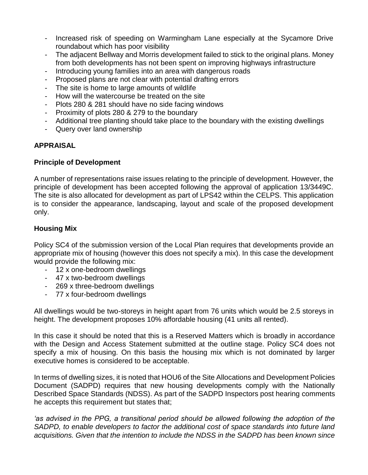- Increased risk of speeding on Warmingham Lane especially at the Sycamore Drive roundabout which has poor visibility
- The adjacent Bellway and Morris development failed to stick to the original plans. Money from both developments has not been spent on improving highways infrastructure
- Introducing young families into an area with dangerous roads
- Proposed plans are not clear with potential drafting errors
- The site is home to large amounts of wildlife
- How will the watercourse be treated on the site
- Plots 280 & 281 should have no side facing windows
- Proximity of plots 280 & 279 to the boundary
- Additional tree planting should take place to the boundary with the existing dwellings
- Query over land ownership

## **APPRAISAL**

## **Principle of Development**

A number of representations raise issues relating to the principle of development. However, the principle of development has been accepted following the approval of application 13/3449C. The site is also allocated for development as part of LPS42 within the CELPS. This application is to consider the appearance, landscaping, layout and scale of the proposed development only.

## **Housing Mix**

Policy SC4 of the submission version of the Local Plan requires that developments provide an appropriate mix of housing (however this does not specify a mix). In this case the development would provide the following mix:

- 12 x one-bedroom dwellings
- 47 x two-bedroom dwellings
- 269 x three-bedroom dwellings
- 77 x four-bedroom dwellings

All dwellings would be two-storeys in height apart from 76 units which would be 2.5 storeys in height. The development proposes 10% affordable housing (41 units all rented).

In this case it should be noted that this is a Reserved Matters which is broadly in accordance with the Design and Access Statement submitted at the outline stage. Policy SC4 does not specify a mix of housing. On this basis the housing mix which is not dominated by larger executive homes is considered to be acceptable.

In terms of dwelling sizes, it is noted that HOU6 of the Site Allocations and Development Policies Document (SADPD) requires that new housing developments comply with the Nationally Described Space Standards (NDSS). As part of the SADPD Inspectors post hearing comments he accepts this requirement but states that;

*'as advised in the PPG, a transitional period should be allowed following the adoption of the SADPD, to enable developers to factor the additional cost of space standards into future land acquisitions. Given that the intention to include the NDSS in the SADPD has been known since*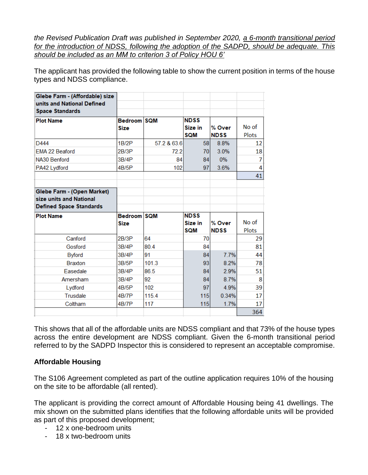*the Revised Publication Draft was published in September 2020, a 6-month transitional period for the introduction of NDSS, following the adoption of the SADPD, should be adequate. This should be included as an MM to criterion 3 of Policy HOU 6'*

The applicant has provided the following table to show the current position in terms of the house types and NDSS compliance.

| Glebe Farm - (Affordable) size |             |             |             |             |       |
|--------------------------------|-------------|-------------|-------------|-------------|-------|
| units and National Defined     |             |             |             |             |       |
| <b>Space Standards</b>         |             |             |             |             |       |
| <b>Plot Name</b>               | Bedroom SQM |             | <b>NDSS</b> |             |       |
|                                | <b>Size</b> |             | Size in     | % Over      | No of |
|                                |             |             | <b>SQM</b>  | <b>NDSS</b> | Plots |
| D444                           | 1B/2P       | 57.2 & 63.6 | <b>581</b>  | 8.8%        | 12    |
| <b>EMA 22 Beaford</b>          | 2B/3P       | 72.2        | 70I         | 3.0%        | 18    |
| NA30 Benford                   | 3B/4P       | 84          | 84          | 0%          | 7     |
| PA42 Lydford                   | 4B/5P       | 102         | 97          | 3.6%        | 4     |
|                                |             |             |             |             | 41    |
|                                |             |             |             |             |       |
| Glebe Farm - (Open Market)     |             |             |             |             |       |
| size units and National        |             |             |             |             |       |
| <b>Defined Space Standards</b> |             |             |             |             |       |
| <b>Plot Name</b>               | Bedroom SQM |             | <b>NDSS</b> |             |       |
|                                | <b>Size</b> |             | Size in     | % Over      | No of |
|                                |             |             | <b>SQM</b>  | <b>NDSS</b> | Plots |
| Canford                        | 2B/3P       | 64          | 70          |             | 29    |
| Gosford                        | 3B/4P       | 80.4        | 84          |             | 81    |
| <b>Byford</b>                  | 3B/4P       | 91          | 84          | 7.7%        | 44    |
| <b>Braxton</b>                 | 3B/5P       | 101.3       | 93          | 8.2%        | 78    |
| Easedale                       | 3B/4P       | 86.5        | 84          | 2.9%        | 51    |
| Amersham                       | 3B/4P       | 92          | 84          | 8.7%        | 8     |
| Lydford                        | 4B/5P       | 102         | 97          | 4.9%        | 39    |
| <b>Trusdale</b>                | 4B/7P       | 115.4       | 115         | 0.34%       | 17    |
| Coltham                        | 4B/7P       | 117         | 115         | 1.7%        | 17    |
|                                |             |             |             |             | 364   |

This shows that all of the affordable units are NDSS compliant and that 73% of the house types across the entire development are NDSS compliant. Given the 6-month transitional period referred to by the SADPD Inspector this is considered to represent an acceptable compromise.

### **Affordable Housing**

The S106 Agreement completed as part of the outline application requires 10% of the housing on the site to be affordable (all rented).

The applicant is providing the correct amount of Affordable Housing being 41 dwellings. The mix shown on the submitted plans identifies that the following affordable units will be provided as part of this proposed development;

- 12 x one-bedroom units
- 18 x two-bedroom units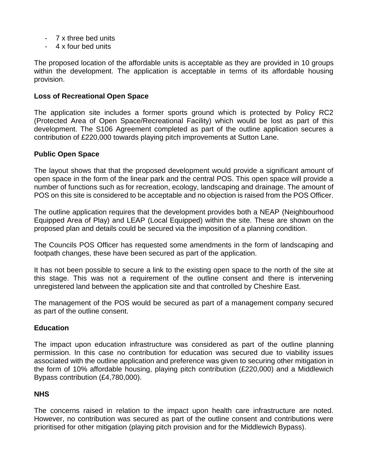- 7 x three bed units
- 4 x four bed units

The proposed location of the affordable units is acceptable as they are provided in 10 groups within the development. The application is acceptable in terms of its affordable housing provision.

## **Loss of Recreational Open Space**

The application site includes a former sports ground which is protected by Policy RC2 (Protected Area of Open Space/Recreational Facility) which would be lost as part of this development. The S106 Agreement completed as part of the outline application secures a contribution of £220,000 towards playing pitch improvements at Sutton Lane.

### **Public Open Space**

The layout shows that that the proposed development would provide a significant amount of open space in the form of the linear park and the central POS. This open space will provide a number of functions such as for recreation, ecology, landscaping and drainage. The amount of POS on this site is considered to be acceptable and no objection is raised from the POS Officer.

The outline application requires that the development provides both a NEAP (Neighbourhood Equipped Area of Play) and LEAP (Local Equipped) within the site. These are shown on the proposed plan and details could be secured via the imposition of a planning condition.

The Councils POS Officer has requested some amendments in the form of landscaping and footpath changes, these have been secured as part of the application.

It has not been possible to secure a link to the existing open space to the north of the site at this stage. This was not a requirement of the outline consent and there is intervening unregistered land between the application site and that controlled by Cheshire East.

The management of the POS would be secured as part of a management company secured as part of the outline consent.

### **Education**

The impact upon education infrastructure was considered as part of the outline planning permission. In this case no contribution for education was secured due to viability issues associated with the outline application and preference was given to securing other mitigation in the form of 10% affordable housing, playing pitch contribution (£220,000) and a Middlewich Bypass contribution (£4,780,000).

### **NHS**

The concerns raised in relation to the impact upon health care infrastructure are noted. However, no contribution was secured as part of the outline consent and contributions were prioritised for other mitigation (playing pitch provision and for the Middlewich Bypass).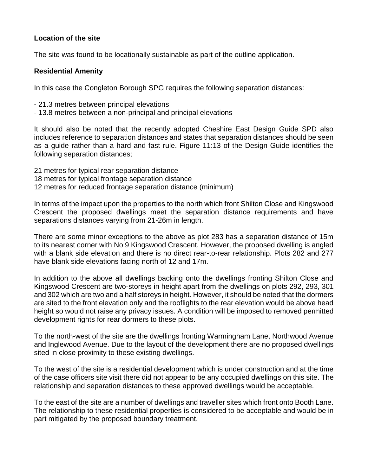## **Location of the site**

The site was found to be locationally sustainable as part of the outline application.

## **Residential Amenity**

In this case the Congleton Borough SPG requires the following separation distances:

- 21.3 metres between principal elevations
- 13.8 metres between a non-principal and principal elevations

It should also be noted that the recently adopted Cheshire East Design Guide SPD also includes reference to separation distances and states that separation distances should be seen as a guide rather than a hard and fast rule. Figure 11:13 of the Design Guide identifies the following separation distances;

- 21 metres for typical rear separation distance
- 18 metres for typical frontage separation distance
- 12 metres for reduced frontage separation distance (minimum)

In terms of the impact upon the properties to the north which front Shilton Close and Kingswood Crescent the proposed dwellings meet the separation distance requirements and have separations distances varying from 21-26m in length.

There are some minor exceptions to the above as plot 283 has a separation distance of 15m to its nearest corner with No 9 Kingswood Crescent. However, the proposed dwelling is angled with a blank side elevation and there is no direct rear-to-rear relationship. Plots 282 and 277 have blank side elevations facing north of 12 and 17m.

In addition to the above all dwellings backing onto the dwellings fronting Shilton Close and Kingswood Crescent are two-storeys in height apart from the dwellings on plots 292, 293, 301 and 302 which are two and a half storeys in height. However, it should be noted that the dormers are sited to the front elevation only and the rooflights to the rear elevation would be above head height so would not raise any privacy issues. A condition will be imposed to removed permitted development rights for rear dormers to these plots.

To the north-west of the site are the dwellings fronting Warmingham Lane, Northwood Avenue and Inglewood Avenue. Due to the layout of the development there are no proposed dwellings sited in close proximity to these existing dwellings.

To the west of the site is a residential development which is under construction and at the time of the case officers site visit there did not appear to be any occupied dwellings on this site. The relationship and separation distances to these approved dwellings would be acceptable.

To the east of the site are a number of dwellings and traveller sites which front onto Booth Lane. The relationship to these residential properties is considered to be acceptable and would be in part mitigated by the proposed boundary treatment.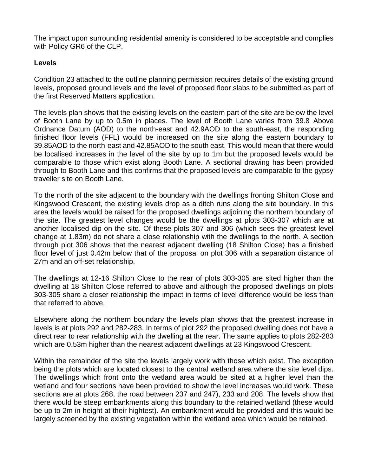The impact upon surrounding residential amenity is considered to be acceptable and complies with Policy GR6 of the CLP.

## **Levels**

Condition 23 attached to the outline planning permission requires details of the existing ground levels, proposed ground levels and the level of proposed floor slabs to be submitted as part of the first Reserved Matters application.

The levels plan shows that the existing levels on the eastern part of the site are below the level of Booth Lane by up to 0.5m in places. The level of Booth Lane varies from 39.8 Above Ordnance Datum (AOD) to the north-east and 42.9AOD to the south-east, the responding finished floor levels (FFL) would be increased on the site along the eastern boundary to 39.85AOD to the north-east and 42.85AOD to the south east. This would mean that there would be localised increases in the level of the site by up to 1m but the proposed levels would be comparable to those which exist along Booth Lane. A sectional drawing has been provided through to Booth Lane and this confirms that the proposed levels are comparable to the gypsy traveller site on Booth Lane.

To the north of the site adjacent to the boundary with the dwellings fronting Shilton Close and Kingswood Crescent, the existing levels drop as a ditch runs along the site boundary. In this area the levels would be raised for the proposed dwellings adjoining the northern boundary of the site. The greatest level changes would be the dwellings at plots 303-307 which are at another localised dip on the site. Of these plots 307 and 306 (which sees the greatest level change at 1.83m) do not share a close relationship with the dwellings to the north. A section through plot 306 shows that the nearest adjacent dwelling (18 Shilton Close) has a finished floor level of just 0.42m below that of the proposal on plot 306 with a separation distance of 27m and an off-set relationship.

The dwellings at 12-16 Shilton Close to the rear of plots 303-305 are sited higher than the dwelling at 18 Shilton Close referred to above and although the proposed dwellings on plots 303-305 share a closer relationship the impact in terms of level difference would be less than that referred to above.

Elsewhere along the northern boundary the levels plan shows that the greatest increase in levels is at plots 292 and 282-283. In terms of plot 292 the proposed dwelling does not have a direct rear to rear relationship with the dwelling at the rear. The same applies to plots 282-283 which are 0.53m higher than the nearest adjacent dwellings at 23 Kingswood Crescent.

Within the remainder of the site the levels largely work with those which exist. The exception being the plots which are located closest to the central wetland area where the site level dips. The dwellings which front onto the wetland area would be sited at a higher level than the wetland and four sections have been provided to show the level increases would work. These sections are at plots 268, the road between 237 and 247), 233 and 208. The levels show that there would be steep embankments along this boundary to the retained wetland (these would be up to 2m in height at their hightest). An embankment would be provided and this would be largely screened by the existing vegetation within the wetland area which would be retained.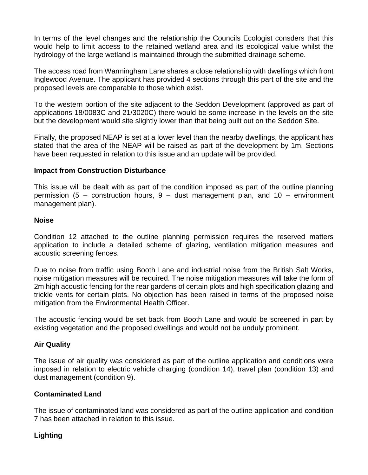In terms of the level changes and the relationship the Councils Ecologist consders that this would help to limit access to the retained wetland area and its ecological value whilst the hydrology of the large wetland is maintained through the submitted drainage scheme.

The access road from Warmingham Lane shares a close relationship with dwellings which front Inglewood Avenue. The applicant has provided 4 sections through this part of the site and the proposed levels are comparable to those which exist.

To the western portion of the site adjacent to the Seddon Development (approved as part of applications 18/0083C and 21/3020C) there would be some increase in the levels on the site but the development would site slightly lower than that being built out on the Seddon Site.

Finally, the proposed NEAP is set at a lower level than the nearby dwellings, the applicant has stated that the area of the NEAP will be raised as part of the development by 1m. Sections have been requested in relation to this issue and an update will be provided.

#### **Impact from Construction Disturbance**

This issue will be dealt with as part of the condition imposed as part of the outline planning permission (5 – construction hours, 9 – dust management plan, and 10 – environment management plan).

#### **Noise**

Condition 12 attached to the outline planning permission requires the reserved matters application to include a detailed scheme of glazing, ventilation mitigation measures and acoustic screening fences.

Due to noise from traffic using Booth Lane and industrial noise from the British Salt Works, noise mitigation measures will be required. The noise mitigation measures will take the form of 2m high acoustic fencing for the rear gardens of certain plots and high specification glazing and trickle vents for certain plots. No objection has been raised in terms of the proposed noise mitigation from the Environmental Health Officer.

The acoustic fencing would be set back from Booth Lane and would be screened in part by existing vegetation and the proposed dwellings and would not be unduly prominent.

### **Air Quality**

The issue of air quality was considered as part of the outline application and conditions were imposed in relation to electric vehicle charging (condition 14), travel plan (condition 13) and dust management (condition 9).

### **Contaminated Land**

The issue of contaminated land was considered as part of the outline application and condition 7 has been attached in relation to this issue.

## **Lighting**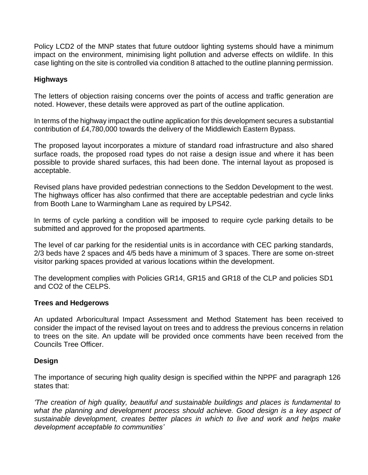Policy LCD2 of the MNP states that future outdoor lighting systems should have a minimum impact on the environment, minimising light pollution and adverse effects on wildlife. In this case lighting on the site is controlled via condition 8 attached to the outline planning permission.

## **Highways**

The letters of objection raising concerns over the points of access and traffic generation are noted. However, these details were approved as part of the outline application.

In terms of the highway impact the outline application for this development secures a substantial contribution of £4,780,000 towards the delivery of the Middlewich Eastern Bypass.

The proposed layout incorporates a mixture of standard road infrastructure and also shared surface roads, the proposed road types do not raise a design issue and where it has been possible to provide shared surfaces, this had been done. The internal layout as proposed is acceptable.

Revised plans have provided pedestrian connections to the Seddon Development to the west. The highways officer has also confirmed that there are acceptable pedestrian and cycle links from Booth Lane to Warmingham Lane as required by LPS42.

In terms of cycle parking a condition will be imposed to require cycle parking details to be submitted and approved for the proposed apartments.

The level of car parking for the residential units is in accordance with CEC parking standards, 2/3 beds have 2 spaces and 4/5 beds have a minimum of 3 spaces. There are some on-street visitor parking spaces provided at various locations within the development.

The development complies with Policies GR14, GR15 and GR18 of the CLP and policies SD1 and CO2 of the CELPS.

### **Trees and Hedgerows**

An updated Arboricultural Impact Assessment and Method Statement has been received to consider the impact of the revised layout on trees and to address the previous concerns in relation to trees on the site. An update will be provided once comments have been received from the Councils Tree Officer.

### **Design**

The importance of securing high quality design is specified within the NPPF and paragraph 126 states that:

*'The creation of high quality, beautiful and sustainable buildings and places is fundamental to what the planning and development process should achieve. Good design is a key aspect of sustainable development, creates better places in which to live and work and helps make development acceptable to communities'*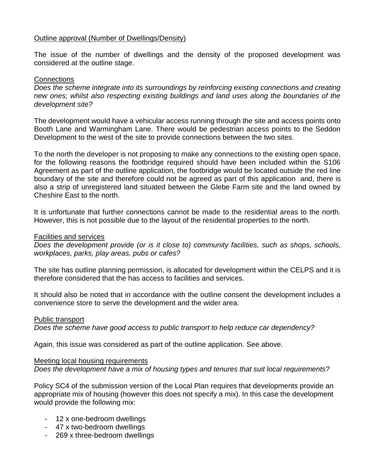### Outline approval (Number of Dwellings/Density)

The issue of the number of dwellings and the density of the proposed development was considered at the outline stage.

#### **Connections**

*Does the scheme integrate into its surroundings by reinforcing existing connections and creating new ones; whilst also respecting existing buildings and land uses along the boundaries of the development site?*

The development would have a vehicular access running through the site and access points onto Booth Lane and Warmingham Lane. There would be pedestrian access points to the Seddon Development to the west of the site to provide connections between the two sites.

To the north the developer is not proposing to make any connections to the existing open space, for the following reasons the footbridge required should have been included within the S106 Agreement as part of the outline application, the footbridge would be located outside the red line boundary of the site and therefore could not be agreed as part of this application and, there is also a strip of unregistered land situated between the Glebe Farm site and the land owned by Cheshire East to the north.

It is unfortunate that further connections cannot be made to the residential areas to the north. However, this is not possible due to the layout of the residential properties to the north.

Facilities and services

*Does the development provide (or is it close to) community facilities, such as shops, schools, workplaces, parks, play areas, pubs or cafes?*

The site has outline planning permission, is allocated for development within the CELPS and it is therefore considered that the has access to facilities and services.

It should also be noted that in accordance with the outline consent the development includes a convenience store to serve the development and the wider area.

#### Public transport

*Does the scheme have good access to public transport to help reduce car dependency?*

Again, this issue was considered as part of the outline application. See above.

#### Meeting local housing requirements

*Does the development have a mix of housing types and tenures that suit local requirements?*

Policy SC4 of the submission version of the Local Plan requires that developments provide an appropriate mix of housing (however this does not specify a mix). In this case the development would provide the following mix:

- 12 x one-bedroom dwellings
- 47 x two-bedroom dwellings
- 269 x three-bedroom dwellings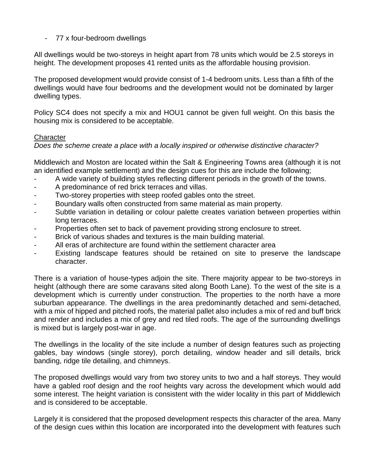- 77 x four-bedroom dwellings

All dwellings would be two-storeys in height apart from 78 units which would be 2.5 storeys in height. The development proposes 41 rented units as the affordable housing provision.

The proposed development would provide consist of 1-4 bedroom units. Less than a fifth of the dwellings would have four bedrooms and the development would not be dominated by larger dwelling types.

Policy SC4 does not specify a mix and HOU1 cannot be given full weight. On this basis the housing mix is considered to be acceptable.

### **Character**

*Does the scheme create a place with a locally inspired or otherwise distinctive character?*

Middlewich and Moston are located within the Salt & Engineering Towns area (although it is not an identified example settlement) and the design cues for this are include the following;

- A wide variety of building styles reflecting different periods in the growth of the towns.
- A predominance of red brick terraces and villas.
- Two-storey properties with steep roofed gables onto the street.
- Boundary walls often constructed from same material as main property.
- Subtle variation in detailing or colour palette creates variation between properties within long terraces.
- Properties often set to back of pavement providing strong enclosure to street.
- Brick of various shades and textures is the main building material.
- All eras of architecture are found within the settlement character area
- Existing landscape features should be retained on site to preserve the landscape character.

There is a variation of house-types adjoin the site. There majority appear to be two-storeys in height (although there are some caravans sited along Booth Lane). To the west of the site is a development which is currently under construction. The properties to the north have a more suburban appearance. The dwellings in the area predominantly detached and semi-detached, with a mix of hipped and pitched roofs, the material pallet also includes a mix of red and buff brick and render and includes a mix of grey and red tiled roofs. The age of the surrounding dwellings is mixed but is largely post-war in age.

The dwellings in the locality of the site include a number of design features such as projecting gables, bay windows (single storey), porch detailing, window header and sill details, brick banding, ridge tile detailing, and chimneys.

The proposed dwellings would vary from two storey units to two and a half storeys. They would have a gabled roof design and the roof heights vary across the development which would add some interest. The height variation is consistent with the wider locality in this part of Middlewich and is considered to be acceptable.

Largely it is considered that the proposed development respects this character of the area. Many of the design cues within this location are incorporated into the development with features such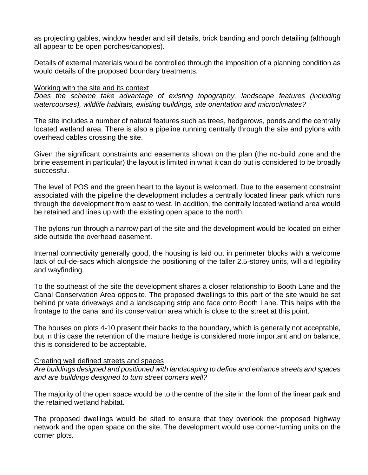as projecting gables, window header and sill details, brick banding and porch detailing (although all appear to be open porches/canopies).

Details of external materials would be controlled through the imposition of a planning condition as would details of the proposed boundary treatments.

#### Working with the site and its context

*Does the scheme take advantage of existing topography, landscape features (including mores including mores timelating mores the scheme take advantage of existing topography. watercourses), wildlife habitats, existing buildings, site orientation and microclimates?*

The site includes a number of natural features such as trees, hedgerows, ponds and the centrally located wetland area. There is also a pipeline running centrally through the site and pylons with overhead cables crossing the site.

Given the significant constraints and easements shown on the plan (the no-build zone and the brine easement in particular) the layout is limited in what it can do but is considered to be broadly successful.

The level of POS and the green heart to the layout is welcomed. Due to the easement constraint associated with the pipeline the development includes a centrally located linear park which runs through the development from east to west. In addition, the centrally located wetland area would be retained and lines up with the existing open space to the north.

The pylons run through a narrow part of the site and the development would be located on either side outside the overhead easement.

Internal connectivity generally good, the housing is laid out in perimeter blocks with a welcome lack of cul-de-sacs which alongside the positioning of the taller 2.5-storey units, will aid legibility and wayfinding.

To the southeast of the site the development shares a closer relationship to Booth Lane and the Canal Conservation Area opposite. The proposed dwellings to this part of the site would be set behind private driveways and a landscaping strip and face onto Booth Lane. This helps with the frontage to the canal and its conservation area which is close to the street at this point.

The houses on plots 4-10 present their backs to the boundary, which is generally not acceptable, but in this case the retention of the mature hedge is considered more important and on balance, this is considered to be acceptable.

### Creating well defined streets and spaces

*Are buildings designed and positioned with landscaping to define and enhance streets and spaces and are buildings designed to turn street corners well?*

The majority of the open space would be to the centre of the site in the form of the linear park and the retained wetland habitat.

The proposed dwellings would be sited to ensure that they overlook the proposed highway network and the open space on the site. The development would use corner-turning units on the corner plots.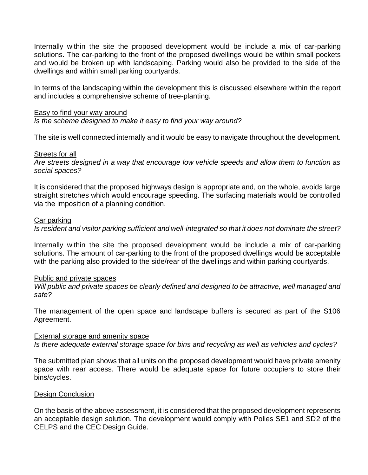Internally within the site the proposed development would be include a mix of car-parking solutions. The car-parking to the front of the proposed dwellings would be within small pockets and would be broken up with landscaping. Parking would also be provided to the side of the dwellings and within small parking courtyards.

In terms of the landscaping within the development this is discussed elsewhere within the report and includes a comprehensive scheme of tree-planting.

#### Easy to find your way around

*Is the scheme designed to make it easy to find your way around?*

The site is well connected internally and it would be easy to navigate throughout the development.

#### Streets for all

*Are streets designed in a way that encourage low vehicle speeds and allow them to function as social spaces?*

It is considered that the proposed highways design is appropriate and, on the whole, avoids large straight stretches which would encourage speeding. The surfacing materials would be controlled via the imposition of a planning condition.

#### Car parking

*Is resident and visitor parking sufficient and well-integrated so that it does not dominate the street?*

Internally within the site the proposed development would be include a mix of car-parking solutions. The amount of car-parking to the front of the proposed dwellings would be acceptable with the parking also provided to the side/rear of the dwellings and within parking courtyards.

#### Public and private spaces

*Will public and private spaces be clearly defined and designed to be attractive, well managed and safe?*

The management of the open space and landscape buffers is secured as part of the S106 Agreement.

#### External storage and amenity space

*Is there adequate external storage space for bins and recycling as well as vehicles and cycles?*

The submitted plan shows that all units on the proposed development would have private amenity space with rear access. There would be adequate space for future occupiers to store their bins/cycles.

#### Design Conclusion

On the basis of the above assessment, it is considered that the proposed development represents an acceptable design solution. The development would comply with Polies SE1 and SD2 of the CELPS and the CEC Design Guide.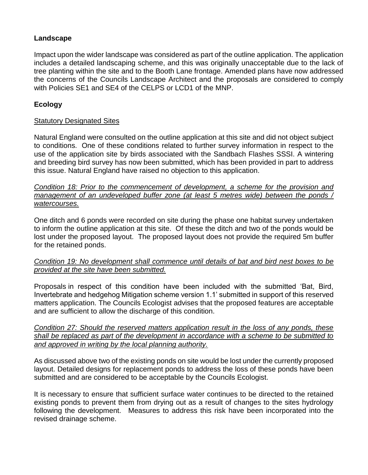## **Landscape**

Impact upon the wider landscape was considered as part of the outline application. The application includes a detailed landscaping scheme, and this was originally unacceptable due to the lack of tree planting within the site and to the Booth Lane frontage. Amended plans have now addressed the concerns of the Councils Landscape Architect and the proposals are considered to comply with Policies SE1 and SE4 of the CELPS or LCD1 of the MNP.

## **Ecology**

## Statutory Designated Sites

Natural England were consulted on the outline application at this site and did not object subject to conditions. One of these conditions related to further survey information in respect to the use of the application site by birds associated with the Sandbach Flashes SSSI. A wintering and breeding bird survey has now been submitted, which has been provided in part to address this issue. Natural England have raised no objection to this application.

*Condition 18: Prior to the commencement of development, a scheme for the provision and management of an undeveloped buffer zone (at least 5 metres wide) between the ponds / watercourses.*

One ditch and 6 ponds were recorded on site during the phase one habitat survey undertaken to inform the outline application at this site. Of these the ditch and two of the ponds would be lost under the proposed layout. The proposed layout does not provide the required 5m buffer for the retained ponds.

### *Condition 19: No development shall commence until details of bat and bird nest boxes to be provided at the site have been submitted.*

Proposals in respect of this condition have been included with the submitted 'Bat, Bird, Invertebrate and hedgehog Mitigation scheme version 1.1' submitted in support of this reserved matters application. The Councils Ecologist advises that the proposed features are acceptable and are sufficient to allow the discharge of this condition.

*Condition 27: Should the reserved matters application result in the loss of any ponds, these shall be replaced as part of the development in accordance with a scheme to be submitted to and approved in writing by the local planning authority.* 

As discussed above two of the existing ponds on site would be lost under the currently proposed layout. Detailed designs for replacement ponds to address the loss of these ponds have been submitted and are considered to be acceptable by the Councils Ecologist.

It is necessary to ensure that sufficient surface water continues to be directed to the retained existing ponds to prevent them from drying out as a result of changes to the sites hydrology following the development. Measures to address this risk have been incorporated into the revised drainage scheme.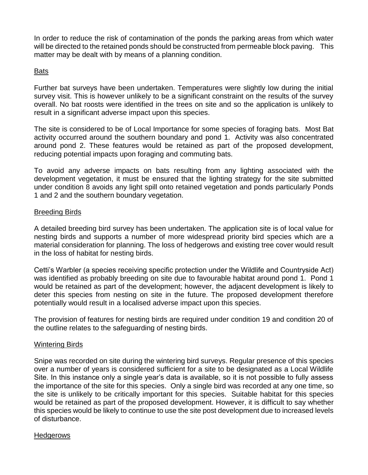In order to reduce the risk of contamination of the ponds the parking areas from which water will be directed to the retained ponds should be constructed from permeable block paving. This matter may be dealt with by means of a planning condition.

### Bats

Further bat surveys have been undertaken. Temperatures were slightly low during the initial survey visit. This is however unlikely to be a significant constraint on the results of the survey overall. No bat roosts were identified in the trees on site and so the application is unlikely to result in a significant adverse impact upon this species.

The site is considered to be of Local Importance for some species of foraging bats. Most Bat activity occurred around the southern boundary and pond 1. Activity was also concentrated around pond 2. These features would be retained as part of the proposed development, reducing potential impacts upon foraging and commuting bats.

To avoid any adverse impacts on bats resulting from any lighting associated with the development vegetation, it must be ensured that the lighting strategy for the site submitted under condition 8 avoids any light spill onto retained vegetation and ponds particularly Ponds 1 and 2 and the southern boundary vegetation.

### Breeding Birds

A detailed breeding bird survey has been undertaken. The application site is of local value for nesting birds and supports a number of more widespread priority bird species which are a material consideration for planning. The loss of hedgerows and existing tree cover would result in the loss of habitat for nesting birds.

Cetti's Warbler (a species receiving specific protection under the Wildlife and Countryside Act) was identified as probably breeding on site due to favourable habitat around pond 1. Pond 1 would be retained as part of the development; however, the adjacent development is likely to deter this species from nesting on site in the future. The proposed development therefore potentially would result in a localised adverse impact upon this species.

The provision of features for nesting birds are required under condition 19 and condition 20 of the outline relates to the safeguarding of nesting birds.

### Wintering Birds

Snipe was recorded on site during the wintering bird surveys. Regular presence of this species over a number of years is considered sufficient for a site to be designated as a Local Wildlife Site. In this instance only a single year's data is available, so it is not possible to fully assess the importance of the site for this species. Only a single bird was recorded at any one time, so the site is unlikely to be critically important for this species. Suitable habitat for this species would be retained as part of the proposed development. However, it is difficult to say whether this species would be likely to continue to use the site post development due to increased levels of disturbance.

### **Hedgerows**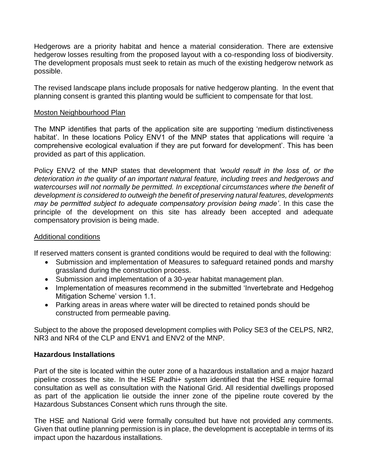Hedgerows are a priority habitat and hence a material consideration. There are extensive hedgerow losses resulting from the proposed layout with a co-responding loss of biodiversity. The development proposals must seek to retain as much of the existing hedgerow network as possible.

The revised landscape plans include proposals for native hedgerow planting. In the event that planning consent is granted this planting would be sufficient to compensate for that lost.

#### Moston Neighbourhood Plan

The MNP identifies that parts of the application site are supporting 'medium distinctiveness habitat'. In these locations Policy ENV1 of the MNP states that applications will require 'a comprehensive ecological evaluation if they are put forward for development'. This has been provided as part of this application.

Policy ENV2 of the MNP states that development that *'would result in the loss of, or the deterioration in the quality of an important natural feature, including trees and hedgerows and watercourses will not normally be permitted. In exceptional circumstances where the benefit of development is considered to outweigh the benefit of preserving natural features, developments may be permitted subject to adequate compensatory provision being made'*. In this case the principle of the development on this site has already been accepted and adequate compensatory provision is being made.

### Additional conditions

If reserved matters consent is granted conditions would be required to deal with the following:

- Submission and implementation of Measures to safeguard retained ponds and marshy grassland during the construction process.
- Submission and implementation of a 30-year habitat management plan.
- Implementation of measures recommend in the submitted 'Invertebrate and Hedgehog Mitigation Scheme' version 1.1.
- Parking areas in areas where water will be directed to retained ponds should be constructed from permeable paving.

Subject to the above the proposed development complies with Policy SE3 of the CELPS, NR2, NR3 and NR4 of the CLP and ENV1 and ENV2 of the MNP.

### **Hazardous Installations**

Part of the site is located within the outer zone of a hazardous installation and a major hazard pipeline crosses the site. In the HSE Padhi+ system identified that the HSE require formal consultation as well as consultation with the National Grid. All residential dwellings proposed as part of the application lie outside the inner zone of the pipeline route covered by the Hazardous Substances Consent which runs through the site.

The HSE and National Grid were formally consulted but have not provided any comments. Given that outline planning permission is in place, the development is acceptable in terms of its impact upon the hazardous installations.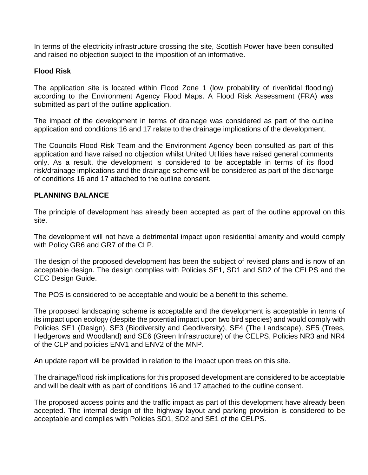In terms of the electricity infrastructure crossing the site, Scottish Power have been consulted and raised no objection subject to the imposition of an informative.

## **Flood Risk**

The application site is located within Flood Zone 1 (low probability of river/tidal flooding) according to the Environment Agency Flood Maps. A Flood Risk Assessment (FRA) was submitted as part of the outline application.

The impact of the development in terms of drainage was considered as part of the outline application and conditions 16 and 17 relate to the drainage implications of the development.

The Councils Flood Risk Team and the Environment Agency been consulted as part of this application and have raised no objection whilst United Utilities have raised general comments only. As a result, the development is considered to be acceptable in terms of its flood risk/drainage implications and the drainage scheme will be considered as part of the discharge of conditions 16 and 17 attached to the outline consent.

## **PLANNING BALANCE**

The principle of development has already been accepted as part of the outline approval on this site.

The development will not have a detrimental impact upon residential amenity and would comply with Policy GR6 and GR7 of the CLP.

The design of the proposed development has been the subject of revised plans and is now of an acceptable design. The design complies with Policies SE1, SD1 and SD2 of the CELPS and the CEC Design Guide.

The POS is considered to be acceptable and would be a benefit to this scheme.

The proposed landscaping scheme is acceptable and the development is acceptable in terms of its impact upon ecology (despite the potential impact upon two bird species) and would comply with Policies SE1 (Design), SE3 (Biodiversity and Geodiversity), SE4 (The Landscape), SE5 (Trees, Hedgerows and Woodland) and SE6 (Green Infrastructure) of the CELPS, Policies NR3 and NR4 of the CLP and policies ENV1 and ENV2 of the MNP.

An update report will be provided in relation to the impact upon trees on this site.

The drainage/flood risk implications for this proposed development are considered to be acceptable and will be dealt with as part of conditions 16 and 17 attached to the outline consent.

The proposed access points and the traffic impact as part of this development have already been accepted. The internal design of the highway layout and parking provision is considered to be acceptable and complies with Policies SD1, SD2 and SE1 of the CELPS.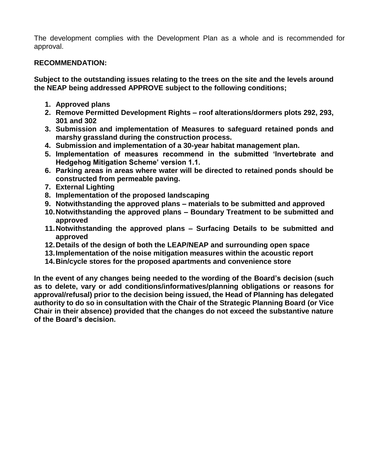The development complies with the Development Plan as a whole and is recommended for approval.

## **RECOMMENDATION:**

**Subject to the outstanding issues relating to the trees on the site and the levels around the NEAP being addressed APPROVE subject to the following conditions;**

- **1. Approved plans**
- **2. Remove Permitted Development Rights – roof alterations/dormers plots 292, 293, 301 and 302**
- **3. Submission and implementation of Measures to safeguard retained ponds and marshy grassland during the construction process.**
- **4. Submission and implementation of a 30-year habitat management plan.**
- **5. Implementation of measures recommend in the submitted 'Invertebrate and Hedgehog Mitigation Scheme' version 1.1.**
- **6. Parking areas in areas where water will be directed to retained ponds should be constructed from permeable paving.**
- **7. External Lighting**
- **8. Implementation of the proposed landscaping**
- **9. Notwithstanding the approved plans – materials to be submitted and approved**
- **10.Notwithstanding the approved plans – Boundary Treatment to be submitted and approved**
- **11.Notwithstanding the approved plans – Surfacing Details to be submitted and approved**
- **12.Details of the design of both the LEAP/NEAP and surrounding open space**
- **13.Implementation of the noise mitigation measures within the acoustic report**
- **14.Bin/cycle stores for the proposed apartments and convenience store**

**In the event of any changes being needed to the wording of the Board's decision (such as to delete, vary or add conditions/informatives/planning obligations or reasons for approval/refusal) prior to the decision being issued, the Head of Planning has delegated authority to do so in consultation with the Chair of the Strategic Planning Board (or Vice Chair in their absence) provided that the changes do not exceed the substantive nature of the Board's decision.**